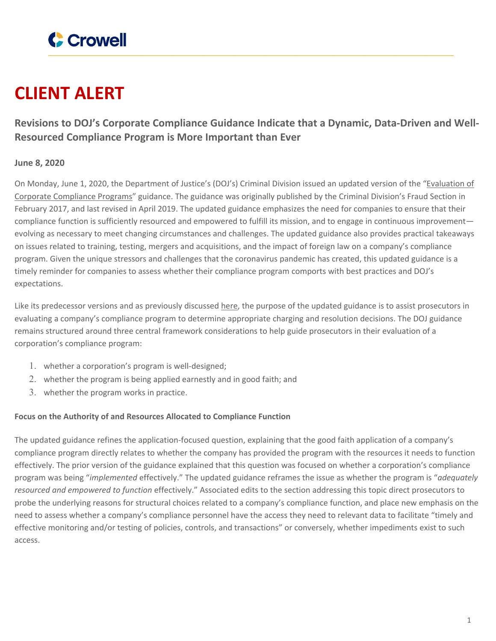

# **CLIENT ALERT**

**Revisions to DOJ's Corporate Compliance Guidance Indicate that a Dynamic, Data-Driven and Well-Resourced Compliance Program is More Important than Ever**

## **June 8, 2020**

On Monday, June 1, 2020, the Department of Justice's (DOJ's) Criminal Division issued an updated version of the "[Evaluation](https://www.justice.gov/criminal-fraud/page/file/937501/download) of Corporate [Compliance](https://www.justice.gov/criminal-fraud/page/file/937501/download) Programs" guidance. The guidance was originally published by the Criminal Division's Fraud Section in February 2017, and last revised in April 2019. The updated guidance emphasizes the need for companies to ensure that their compliance function is sufficiently resourced and empowered to fulfill its mission, and to engage in continuous improvement evolving as necessary to meet changing circumstances and challenges. The updated guidance also provides practical takeaways on issues related to training, testing, mergers and acquisitions, and the impact of foreign law on a company's compliance program. Given the unique stressors and challenges that the coronavirus pandemic has created, this updated guidance is a timely reminder for companies to assess whether their compliance program comports with best practices and DOJ's expectations.

Like its predecessor versions and as previously discussed [here,](https://www.crowell.com/NewsEvents/AlertsNewsletters/all/DOJ-Centralizes-Guidance-on-The-Evaluation-of-Corporate-Compliance-Programs) the purpose of the updated guidance is to assist prosecutors in evaluating a company's compliance program to determine appropriate charging and resolution decisions. The DOJ guidance remains structured around three central framework considerations to help guide prosecutors in their evaluation of a corporation's compliance program:

- 1. whether a corporation's program is well-designed;
- 2. whether the program is being applied earnestly and in good faith; and
- 3. whether the program works in practice.

## **Focus on the Authority of and Resources Allocated to Compliance Function**

The updated guidance refines the application-focused question, explaining that the good faith application of a company's compliance program directly relates to whether the company has provided the program with the resources it needs to function effectively. The prior version of the guidance explained that this question was focused on whether a corporation's compliance program was being "*implemented* effectively." The updated guidance reframes the issue as whether the program is "*adequately resourced and empowered to function* effectively." Associated edits to the section addressing this topic direct prosecutors to probe the underlying reasons for structural choices related to a company's compliance function, and place new emphasis on the need to assess whether a company's compliance personnel have the access they need to relevant data to facilitate "timely and effective monitoring and/or testing of policies, controls, and transactions" or conversely, whether impediments exist to such access.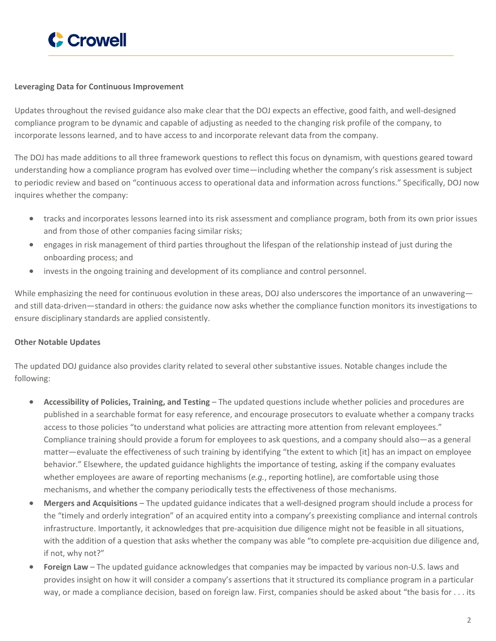

#### **Leveraging Data for Continuous Improvement**

Updates throughout the revised guidance also make clear that the DOJ expects an effective, good faith, and well-designed compliance program to be dynamic and capable of adjusting as needed to the changing risk profile of the company, to incorporate lessons learned, and to have access to and incorporate relevant data from the company.

The DOJ has made additions to all three framework questions to reflect this focus on dynamism, with questions geared toward understanding how a compliance program has evolved over time—including whether the company's risk assessment is subject to periodic review and based on "continuous access to operational data and information across functions." Specifically, DOJ now inquires whether the company:

- tracks and incorporates lessons learned into its risk assessment and compliance program, both from its own prior issues and from those of other companies facing similar risks;
- engages in risk management of third parties throughout the lifespan of the relationship instead of just during the onboarding process; and
- invests in the ongoing training and development of its compliance and control personnel.

While emphasizing the need for continuous evolution in these areas, DOJ also underscores the importance of an unwavering and still data-driven—standard in others: the guidance now asks whether the compliance function monitors its investigations to ensure disciplinary standards are applied consistently.

### **Other Notable Updates**

The updated DOJ guidance also provides clarity related to several other substantive issues. Notable changes include the following:

- **Accessibility of Policies, Training, and Testing** The updated questions include whether policies and procedures are published in a searchable format for easy reference, and encourage prosecutors to evaluate whether a company tracks access to those policies "to understand what policies are attracting more attention from relevant employees." Compliance training should provide a forum for employees to ask questions, and a company should also—as a general matter—evaluate the effectiveness of such training by identifying "the extent to which [it] has an impact on employee behavior." Elsewhere, the updated guidance highlights the importance of testing, asking if the company evaluates whether employees are aware of reporting mechanisms (*e.g.*, reporting hotline), are comfortable using those mechanisms, and whether the company periodically tests the effectiveness of those mechanisms.
- **Mergers and Acquisitions** The updated guidance indicates that a well-designed program should include a process for the "timely and orderly integration" of an acquired entity into a company's preexisting compliance and internal controls infrastructure. Importantly, it acknowledges that pre-acquisition due diligence might not be feasible in all situations, with the addition of a question that asks whether the company was able "to complete pre-acquisition due diligence and, if not, why not?"
- **Foreign Law** The updated guidance acknowledges that companies may be impacted by various non-U.S. laws and provides insight on how it will consider a company's assertions that it structured its compliance program in a particular way, or made a compliance decision, based on foreign law. First, companies should be asked about "the basis for . . . its